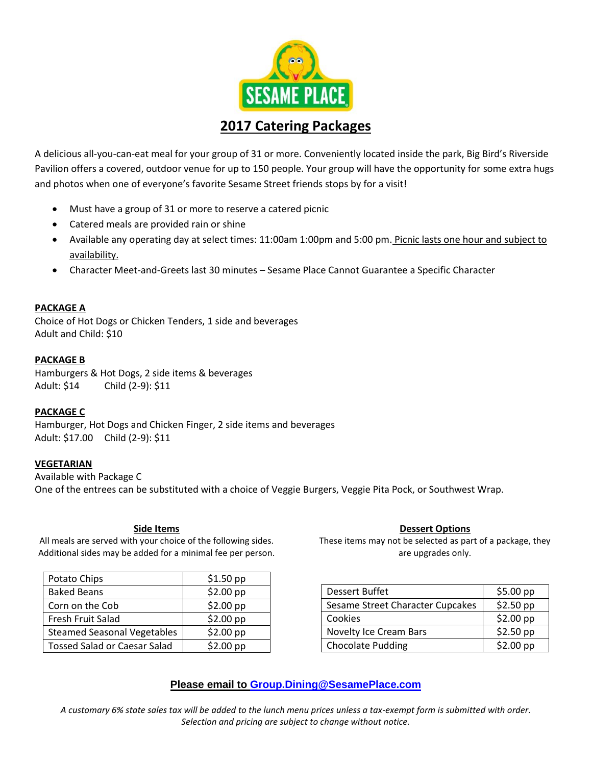

# **2017 Catering Packages**

A delicious all-you-can-eat meal for your group of 31 or more. Conveniently located inside the park, Big Bird's Riverside Pavilion offers a covered, outdoor venue for up to 150 people. Your group will have the opportunity for some extra hugs and photos when one of everyone's favorite Sesame Street friends stops by for a visit!

- Must have a group of 31 or more to reserve a catered picnic
- Catered meals are provided rain or shine
- Available any operating day at select times: 11:00am 1:00pm and 5:00 pm. Picnic lasts one hour and subject to availability.
- Character Meet-and-Greets last 30 minutes Sesame Place Cannot Guarantee a Specific Character

### **PACKAGE A**

Choice of Hot Dogs or Chicken Tenders, 1 side and beverages Adult and Child: \$10

#### **PACKAGE B**

Hamburgers & Hot Dogs, 2 side items & beverages Adult: \$14 Child (2-9): \$11

#### **PACKAGE C**

Hamburger, Hot Dogs and Chicken Finger, 2 side items and beverages Adult: \$17.00 Child (2-9): \$11

#### **VEGETARIAN**

Available with Package C One of the entrees can be substituted with a choice of Veggie Burgers, Veggie Pita Pock, or Southwest Wrap.

#### **Side Items**

All meals are served with your choice of the following sides. Additional sides may be added for a minimal fee per person.

| Potato Chips                        | $$1.50$ pp |
|-------------------------------------|------------|
| <b>Baked Beans</b>                  | $$2.00$ pp |
| Corn on the Cob                     | $$2.00$ pp |
| Fresh Fruit Salad                   | \$2.00~pp  |
| <b>Steamed Seasonal Vegetables</b>  | $$2.00$ pp |
| <b>Tossed Salad or Caesar Salad</b> | $$2.00$ pp |

#### **Dessert Options**

These items may not be selected as part of a package, they are upgrades only.

| <b>Dessert Buffet</b>            | $$5.00$ pp |
|----------------------------------|------------|
| Sesame Street Character Cupcakes | \$2.50 pp  |
| Cookies                          | $$2.00$ pp |
| Novelty Ice Cream Bars           | $$2.50$ pp |
| <b>Chocolate Pudding</b>         | \$2.00~pp  |

## **Please email to [Group.Dining@SesamePlace.com](mailto:Group.Dining@SesamePlace.com)**

*A customary 6% state sales tax will be added to the lunch menu prices unless a tax-exempt form is submitted with order. Selection and pricing are subject to change without notice.*